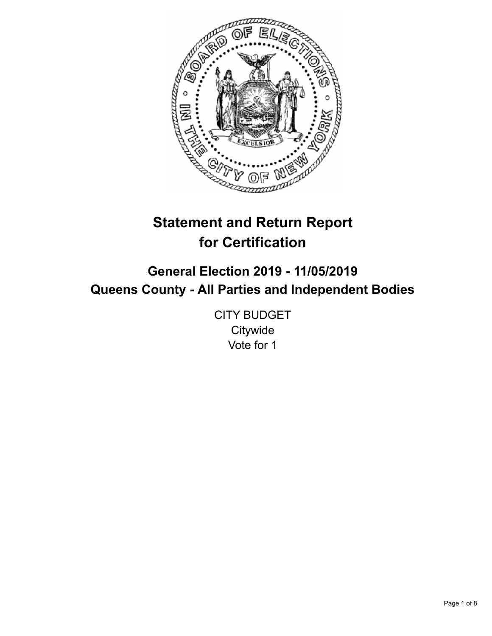

# **Statement and Return Report for Certification**

## **General Election 2019 - 11/05/2019 Queens County - All Parties and Independent Bodies**

CITY BUDGET **Citywide** Vote for 1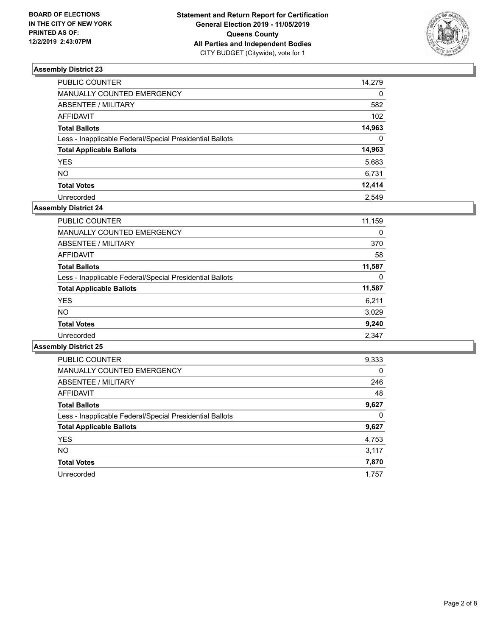

| PUBLIC COUNTER                                           | 14.279           |
|----------------------------------------------------------|------------------|
| MANUALLY COUNTED EMERGENCY                               | $\Omega$         |
| ABSENTEE / MILITARY                                      | 582              |
| <b>AFFIDAVIT</b>                                         | 102 <sub>2</sub> |
| <b>Total Ballots</b>                                     | 14,963           |
| Less - Inapplicable Federal/Special Presidential Ballots | $\Omega$         |
| <b>Total Applicable Ballots</b>                          | 14,963           |
| <b>YES</b>                                               | 5,683            |
| NO                                                       | 6,731            |
| <b>Total Votes</b>                                       | 12,414           |
| Unrecorded                                               | 2.549            |

## **Assembly District 24**

| <b>PUBLIC COUNTER</b>                                    | 11,159 |
|----------------------------------------------------------|--------|
| <b>MANUALLY COUNTED EMERGENCY</b>                        | 0      |
| ABSENTEE / MILITARY                                      | 370    |
| AFFIDAVIT                                                | 58     |
| <b>Total Ballots</b>                                     | 11,587 |
| Less - Inapplicable Federal/Special Presidential Ballots | 0      |
| <b>Total Applicable Ballots</b>                          | 11,587 |
| <b>YES</b>                                               | 6,211  |
| NO.                                                      | 3,029  |
| <b>Total Votes</b>                                       | 9,240  |
| Unrecorded                                               | 2.347  |

| <b>PUBLIC COUNTER</b>                                    | 9,333    |
|----------------------------------------------------------|----------|
| <b>MANUALLY COUNTED EMERGENCY</b>                        | $\Omega$ |
| ABSENTEE / MILITARY                                      | 246      |
| <b>AFFIDAVIT</b>                                         | 48       |
| <b>Total Ballots</b>                                     | 9,627    |
| Less - Inapplicable Federal/Special Presidential Ballots | 0        |
| <b>Total Applicable Ballots</b>                          | 9,627    |
| <b>YES</b>                                               | 4,753    |
| NO.                                                      | 3,117    |
| <b>Total Votes</b>                                       | 7,870    |
| Unrecorded                                               | 1.757    |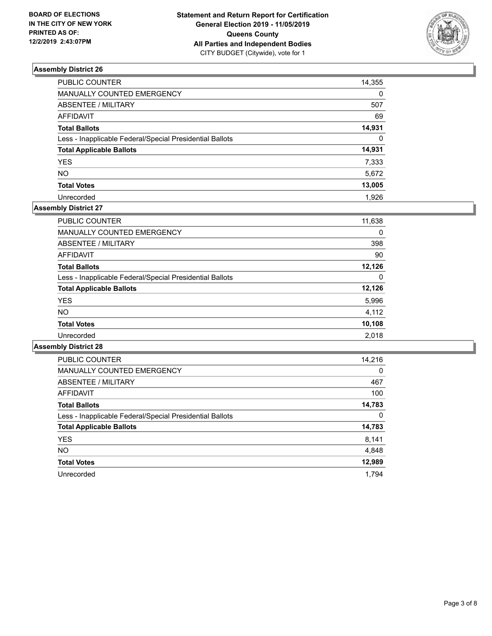

| PUBLIC COUNTER                                           | 14,355   |
|----------------------------------------------------------|----------|
| <b>MANUALLY COUNTED EMERGENCY</b>                        | $\Omega$ |
| <b>ABSENTEE / MILITARY</b>                               | 507      |
| <b>AFFIDAVIT</b>                                         | 69       |
| <b>Total Ballots</b>                                     | 14,931   |
| Less - Inapplicable Federal/Special Presidential Ballots | $\Omega$ |
| <b>Total Applicable Ballots</b>                          | 14,931   |
| YES                                                      | 7,333    |
| NO                                                       | 5,672    |
| <b>Total Votes</b>                                       | 13,005   |
| Unrecorded                                               | 1.926    |

## **Assembly District 27**

| <b>PUBLIC COUNTER</b>                                    | 11,638 |
|----------------------------------------------------------|--------|
| <b>MANUALLY COUNTED EMERGENCY</b>                        | 0      |
| ABSENTEE / MILITARY                                      | 398    |
| AFFIDAVIT                                                | 90     |
| <b>Total Ballots</b>                                     | 12.126 |
| Less - Inapplicable Federal/Special Presidential Ballots | 0      |
| <b>Total Applicable Ballots</b>                          | 12,126 |
| <b>YES</b>                                               | 5,996  |
| <b>NO</b>                                                | 4,112  |
| <b>Total Votes</b>                                       | 10,108 |
| Unrecorded                                               | 2.018  |

| <b>PUBLIC COUNTER</b>                                    | 14,216   |
|----------------------------------------------------------|----------|
| <b>MANUALLY COUNTED EMERGENCY</b>                        | $\Omega$ |
| ABSENTEE / MILITARY                                      | 467      |
| <b>AFFIDAVIT</b>                                         | 100      |
| <b>Total Ballots</b>                                     | 14,783   |
| Less - Inapplicable Federal/Special Presidential Ballots | 0        |
| <b>Total Applicable Ballots</b>                          | 14,783   |
| <b>YES</b>                                               | 8,141    |
| NO.                                                      | 4,848    |
| <b>Total Votes</b>                                       | 12,989   |
| Unrecorded                                               | 1.794    |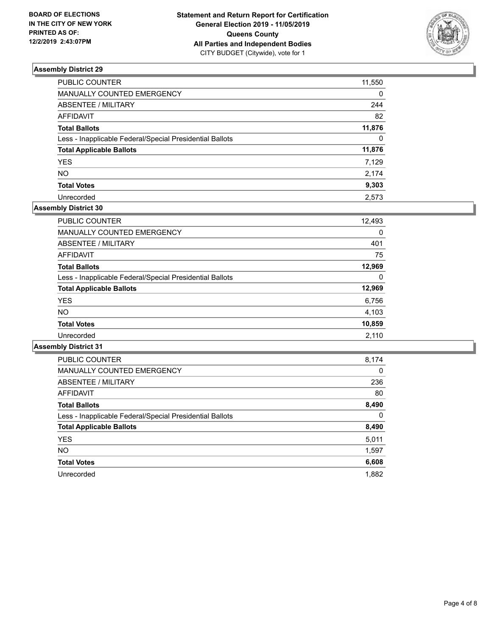

| PUBLIC COUNTER                                           | 11,550       |
|----------------------------------------------------------|--------------|
| MANUALLY COUNTED EMERGENCY                               | 0            |
| ABSENTEE / MILITARY                                      | 244          |
| AFFIDAVIT                                                | 82           |
| Total Ballots                                            | 11,876       |
| Less - Inapplicable Federal/Special Presidential Ballots | $\mathbf{0}$ |
| <b>Total Applicable Ballots</b>                          | 11,876       |
| YES                                                      | 7,129        |
| NΟ                                                       | 2,174        |
| <b>Total Votes</b>                                       | 9,303        |
| Unrecorded                                               | 2.573        |

#### **Assembly District 30**

| <b>PUBLIC COUNTER</b>                                    | 12,493 |
|----------------------------------------------------------|--------|
| <b>MANUALLY COUNTED EMERGENCY</b>                        | 0      |
| ABSENTEE / MILITARY                                      | 401    |
| AFFIDAVIT                                                | 75     |
| <b>Total Ballots</b>                                     | 12,969 |
| Less - Inapplicable Federal/Special Presidential Ballots | 0      |
| <b>Total Applicable Ballots</b>                          | 12,969 |
| <b>YES</b>                                               | 6,756  |
| <b>NO</b>                                                | 4,103  |
| <b>Total Votes</b>                                       | 10,859 |
| Unrecorded                                               | 2.110  |

| <b>PUBLIC COUNTER</b>                                    | 8,174    |
|----------------------------------------------------------|----------|
| <b>MANUALLY COUNTED EMERGENCY</b>                        | $\Omega$ |
| ABSENTEE / MILITARY                                      | 236      |
| <b>AFFIDAVIT</b>                                         | 80       |
| <b>Total Ballots</b>                                     | 8,490    |
| Less - Inapplicable Federal/Special Presidential Ballots | 0        |
| <b>Total Applicable Ballots</b>                          | 8,490    |
| <b>YES</b>                                               | 5,011    |
| NO.                                                      | 1,597    |
| <b>Total Votes</b>                                       | 6,608    |
| Unrecorded                                               | 1.882    |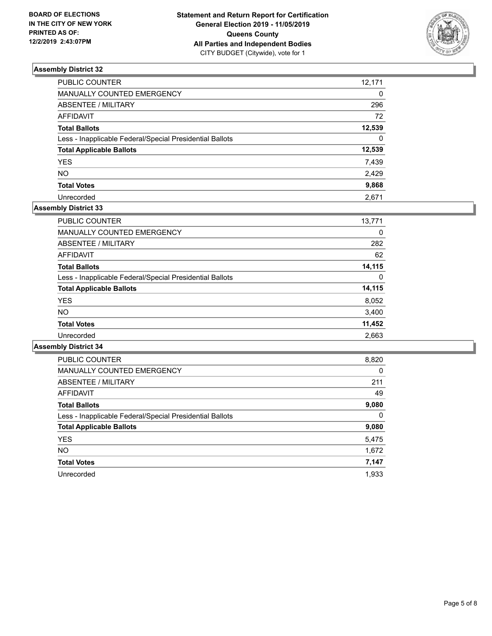

| PUBLIC COUNTER                                           | 12,171   |
|----------------------------------------------------------|----------|
| MANUALLY COUNTED EMERGENCY                               | $\Omega$ |
| ABSENTEE / MILITARY                                      | 296      |
| AFFIDAVIT                                                | 72       |
| Total Ballots                                            | 12,539   |
| Less - Inapplicable Federal/Special Presidential Ballots | $\Omega$ |
| <b>Total Applicable Ballots</b>                          | 12,539   |
| YES                                                      | 7,439    |
| NO.                                                      | 2,429    |
| <b>Total Votes</b>                                       | 9,868    |
| Unrecorded                                               | 2.671    |

#### **Assembly District 33**

| <b>PUBLIC COUNTER</b>                                    | 13,771 |
|----------------------------------------------------------|--------|
| <b>MANUALLY COUNTED EMERGENCY</b>                        | 0      |
| ABSENTEE / MILITARY                                      | 282    |
| AFFIDAVIT                                                | 62     |
| <b>Total Ballots</b>                                     | 14,115 |
| Less - Inapplicable Federal/Special Presidential Ballots | 0      |
| <b>Total Applicable Ballots</b>                          | 14,115 |
| <b>YES</b>                                               | 8,052  |
| <b>NO</b>                                                | 3,400  |
| <b>Total Votes</b>                                       | 11,452 |
| Unrecorded                                               | 2,663  |
|                                                          |        |

| <b>PUBLIC COUNTER</b>                                    | 8,820    |
|----------------------------------------------------------|----------|
| <b>MANUALLY COUNTED EMERGENCY</b>                        | $\Omega$ |
| ABSENTEE / MILITARY                                      | 211      |
| AFFIDAVIT                                                | 49       |
| <b>Total Ballots</b>                                     | 9,080    |
| Less - Inapplicable Federal/Special Presidential Ballots | $\Omega$ |
| <b>Total Applicable Ballots</b>                          | 9,080    |
| <b>YES</b>                                               | 5,475    |
| <b>NO</b>                                                | 1,672    |
| <b>Total Votes</b>                                       | 7,147    |
| Unrecorded                                               | 1.933    |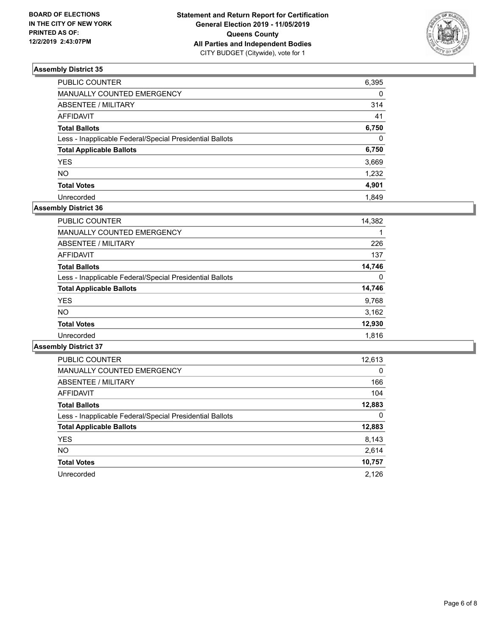

| PUBLIC COUNTER                                           | 6,395        |
|----------------------------------------------------------|--------------|
| MANUALLY COUNTED EMERGENCY                               | $\Omega$     |
| ABSENTEE / MILITARY                                      | 314          |
| <b>AFFIDAVIT</b>                                         | 41           |
| <b>Total Ballots</b>                                     | 6,750        |
| Less - Inapplicable Federal/Special Presidential Ballots | $\mathbf{0}$ |
| <b>Total Applicable Ballots</b>                          | 6,750        |
| <b>YES</b>                                               | 3,669        |
| NO                                                       | 1,232        |
| <b>Total Votes</b>                                       | 4,901        |
| Unrecorded                                               | 1.849        |

## **Assembly District 36**

| PUBLIC COUNTER                                           | 14,382 |
|----------------------------------------------------------|--------|
| <b>MANUALLY COUNTED EMERGENCY</b>                        |        |
| ABSENTEE / MILITARY                                      | 226    |
| AFFIDAVIT                                                | 137    |
| <b>Total Ballots</b>                                     | 14,746 |
| Less - Inapplicable Federal/Special Presidential Ballots | 0      |
| <b>Total Applicable Ballots</b>                          | 14,746 |
| <b>YES</b>                                               | 9,768  |
| <b>NO</b>                                                | 3,162  |
| <b>Total Votes</b>                                       | 12,930 |
| Unrecorded                                               | 1.816  |

| <b>PUBLIC COUNTER</b>                                    | 12,613   |
|----------------------------------------------------------|----------|
| <b>MANUALLY COUNTED EMERGENCY</b>                        | $\Omega$ |
| ABSENTEE / MILITARY                                      | 166      |
| <b>AFFIDAVIT</b>                                         | 104      |
| <b>Total Ballots</b>                                     | 12,883   |
| Less - Inapplicable Federal/Special Presidential Ballots | 0        |
| <b>Total Applicable Ballots</b>                          | 12,883   |
| <b>YES</b>                                               | 8,143    |
| NO.                                                      | 2,614    |
| <b>Total Votes</b>                                       | 10,757   |
| Unrecorded                                               | 2.126    |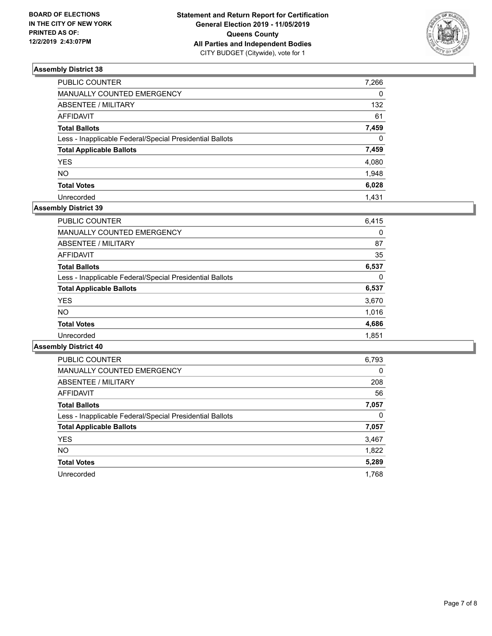

| PUBLIC COUNTER                                           | 7,266    |
|----------------------------------------------------------|----------|
| MANUALLY COUNTED EMERGENCY                               | 0        |
| ABSENTEE / MILITARY                                      | 132      |
| AFFIDAVIT                                                | 61       |
| Total Ballots                                            | 7,459    |
| Less - Inapplicable Federal/Special Presidential Ballots | $\Omega$ |
| <b>Total Applicable Ballots</b>                          | 7,459    |
| YES                                                      | 4,080    |
| NO.                                                      | 1,948    |
| <b>Total Votes</b>                                       | 6,028    |
| Unrecorded                                               | 1.431    |

## **Assembly District 39**

| 6,415 |
|-------|
| 0     |
| 87    |
| 35    |
| 6,537 |
| 0     |
| 6,537 |
| 3,670 |
| 1.016 |
| 4,686 |
| 1,851 |
|       |

| <b>PUBLIC COUNTER</b>                                    | 6,793    |
|----------------------------------------------------------|----------|
| <b>MANUALLY COUNTED EMERGENCY</b>                        | $\Omega$ |
| ABSENTEE / MILITARY                                      | 208      |
| AFFIDAVIT                                                | 56       |
| <b>Total Ballots</b>                                     | 7,057    |
| Less - Inapplicable Federal/Special Presidential Ballots | 0        |
| <b>Total Applicable Ballots</b>                          | 7,057    |
| <b>YES</b>                                               | 3,467    |
| NO.                                                      | 1,822    |
| <b>Total Votes</b>                                       | 5,289    |
| Unrecorded                                               | 1.768    |